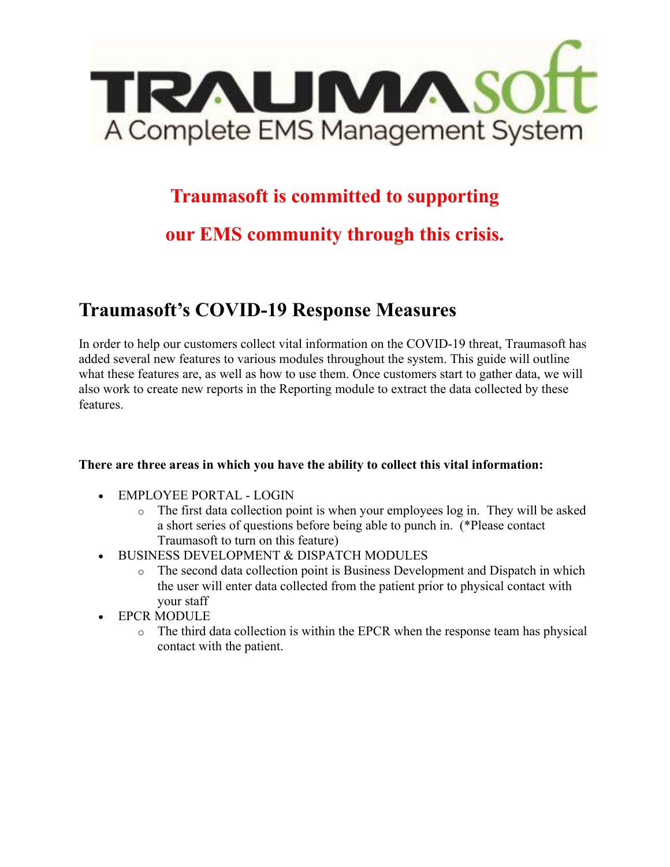

### **Traumasoft is committed to supporting**

## **our EMS community through this crisis.**

## **Traumasoft's COVID-19 Response Measures**

In order to help our customers collect vital information on the COVID-19 threat, Traumasoft has added several new features to various modules throughout the system. This guide will outline what these features are, as well as how to use them. Once customers start to gather data, we will also work to create new reports in the Reporting module to extract the data collected by these features.

#### **There are three areas in which you have the ability to collect this vital information:**

- EMPLOYEE PORTAL LOGIN
	- $\circ$  The first data collection point is when your employees log in. They will be asked a short series of questions before being able to punch in. (\*Please contact Traumasoft to turn on this feature)
- BUSINESS DEVELOPMENT & DISPATCH MODULES
	- o The second data collection point is Business Development and Dispatch in which the user will enter data collected from the patient prior to physical contact with your staff
- EPCR MODULE
	- o The third data collection is within the EPCR when the response team has physical contact with the patient.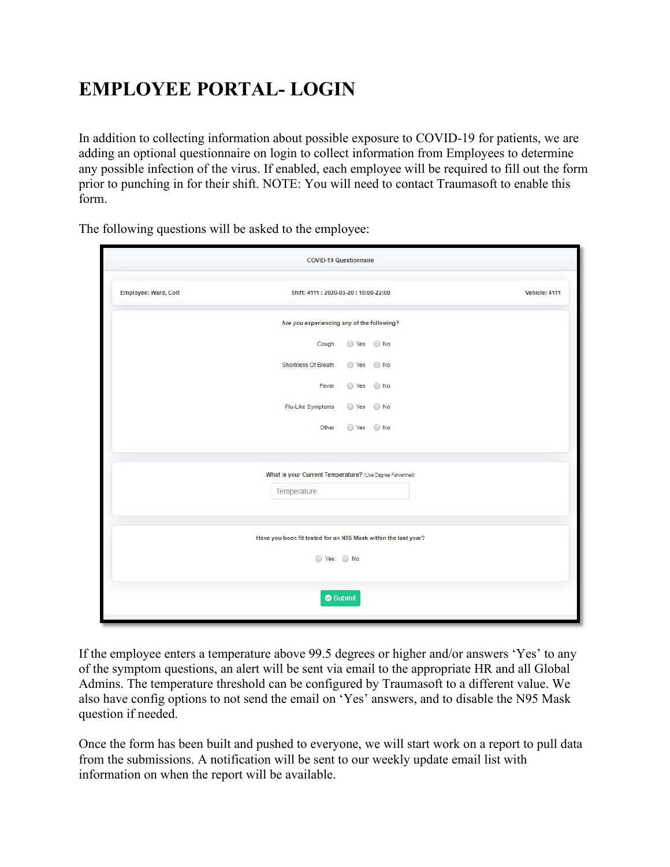# **EMPLOYEE PORTAL- LOGIN**

In addition to collecting information about possible exposure to COVID-19 for patients, we are adding an optional questionnaire on login to collect information from Employees to determine any possible infection of the virus. If enabled, each employee will be required to fill out the form prior to punching in for their shift. NOTE: You will need to contact Traumasoft to enable this form.

|                                                                              | <b>COVID-19 Questionnaire</b>                                |            |  |  |  |  |  |  |  |  |
|------------------------------------------------------------------------------|--------------------------------------------------------------|------------|--|--|--|--|--|--|--|--|
| Employee: Ward, Colt                                                         | Shift: 4111: 2020-03-20: 10:00-22:00<br><b>Vehicle: 4111</b> |            |  |  |  |  |  |  |  |  |
| Are you experiencing any of the following?                                   |                                                              |            |  |  |  |  |  |  |  |  |
|                                                                              | Cough                                                        |            |  |  |  |  |  |  |  |  |
|                                                                              | Shortness Of Breath                                          | ◯ Yes ◯ No |  |  |  |  |  |  |  |  |
|                                                                              | Fever                                                        | ⊙ Yes ⊙ No |  |  |  |  |  |  |  |  |
|                                                                              | Flu-Like Symptoms                                            | ⊙ Yes ⊙ No |  |  |  |  |  |  |  |  |
|                                                                              | Other                                                        | ⊙ Yes ⊙ No |  |  |  |  |  |  |  |  |
|                                                                              |                                                              |            |  |  |  |  |  |  |  |  |
|                                                                              | What is your Current Temperature? (Use Degree Fahrenheit)    |            |  |  |  |  |  |  |  |  |
|                                                                              | Temperature                                                  |            |  |  |  |  |  |  |  |  |
| Have you been fit tested for an N95 Mask within the last year?<br>⊙ Yes ⊙ No |                                                              |            |  |  |  |  |  |  |  |  |
|                                                                              | Submit                                                       |            |  |  |  |  |  |  |  |  |

The following questions will be asked to the employee:

If the employee enters a temperature above 99.5 degrees or higher and/or answers 'Yes' to any of the symptom questions, an alert will be sent via email to the appropriate HR and all Global Admins. The temperature threshold can be configured by Traumasoft to a different value. We also have config options to not send the email on 'Yes' answers, and to disable the N95 Mask question if needed.

Once the form has been built and pushed to everyone, we will start work on a report to pull data from the submissions. A notification will be sent to our weekly update email list with information on when the report will be available.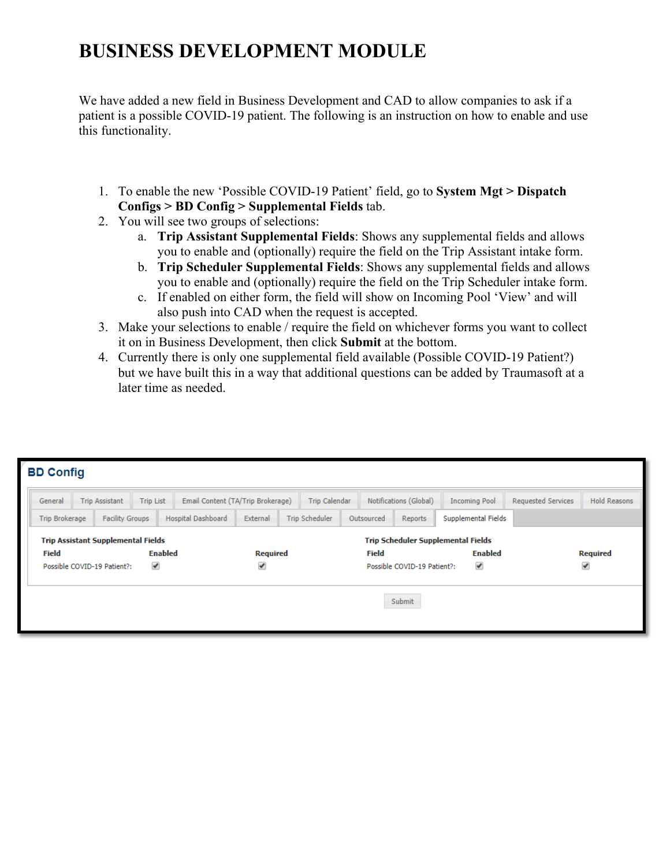# **BUSINESS DEVELOPMENT MODULE**

We have added a new field in Business Development and CAD to allow companies to ask if a patient is a possible COVID-19 patient. The following is an instruction on how to enable and use this functionality.

- 1. To enable the new 'Possible COVID-19 Patient' field, go to **System Mgt > Dispatch Configs > BD Config > Supplemental Fields** tab.
- 2. You will see two groups of selections:
	- a. **Trip Assistant Supplemental Fields**: Shows any supplemental fields and allows you to enable and (optionally) require the field on the Trip Assistant intake form.
	- b. **Trip Scheduler Supplemental Fields**: Shows any supplemental fields and allows you to enable and (optionally) require the field on the Trip Scheduler intake form.
	- c. If enabled on either form, the field will show on Incoming Pool 'View' and will also push into CAD when the request is accepted.
- 3. Make your selections to enable / require the field on whichever forms you want to collect it on in Business Development, then click **Submit** at the bottom.
- 4. Currently there is only one supplemental field available (Possible COVID-19 Patient?) but we have built this in a way that additional questions can be added by Traumasoft at a later time as needed.

| <b>BD Config</b>                                                                          |                                                                       |  |          |                       |  |                       |                                  |  |                                                |                |                 |                    |                     |
|-------------------------------------------------------------------------------------------|-----------------------------------------------------------------------|--|----------|-----------------------|--|-----------------------|----------------------------------|--|------------------------------------------------|----------------|-----------------|--------------------|---------------------|
| Email Content (TA/Trip Brokerage)<br><b>Trip List</b><br><b>Trip Assistant</b><br>General |                                                                       |  |          |                       |  | <b>Trip Calendar</b>  |                                  |  | Notifications (Global)<br><b>Incoming Pool</b> |                |                 | Requested Services | <b>Hold Reasons</b> |
|                                                                                           | <b>Facility Groups</b><br>Hospital Dashboard<br><b>Trip Brokerage</b> |  | External | <b>Trip Scheduler</b> |  | Outsourced<br>Reports |                                  |  | Supplemental Fields                            |                |                 |                    |                     |
| <b>Trip Assistant Supplemental Fields</b>                                                 |                                                                       |  |          |                       |  |                       |                                  |  | <b>Trip Scheduler Supplemental Fields</b>      |                |                 |                    |                     |
| <b>Enabled</b><br><b>Field</b>                                                            |                                                                       |  |          | <b>Required</b>       |  |                       | <b>Field</b>                     |  |                                                | <b>Enabled</b> | <b>Required</b> |                    |                     |
| ✔<br>Possible COVID-19 Patient?:                                                          |                                                                       |  |          | ✔                     |  |                       | ✔<br>Possible COVID-19 Patient?: |  |                                                | ✔              |                 |                    |                     |
|                                                                                           |                                                                       |  |          |                       |  |                       |                                  |  | Submit                                         |                |                 |                    |                     |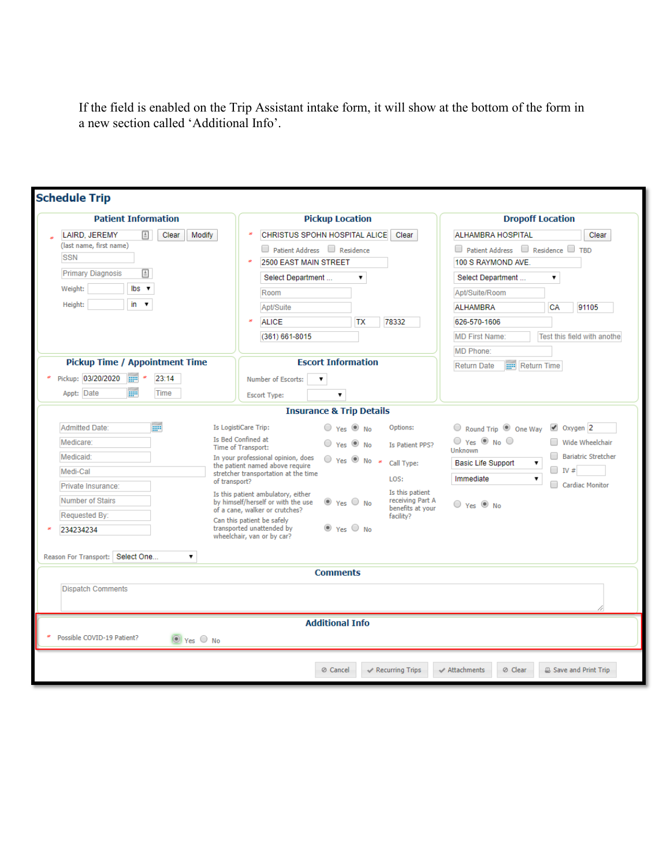If the field is enabled on the Trip Assistant intake form, it will show at the bottom of the form in a new section called 'Additional Info'.

| <b>Patient Information</b>                                         | <b>Pickup Location</b>                                                                                                                   | <b>Dropoff Location</b>                                                                                                                                               |  |  |
|--------------------------------------------------------------------|------------------------------------------------------------------------------------------------------------------------------------------|-----------------------------------------------------------------------------------------------------------------------------------------------------------------------|--|--|
| LAIRD, JEREMY<br>Modify<br>$\equiv$<br>Clear                       | CHRISTUS SPOHN HOSPITAL ALICE<br>Clear                                                                                                   | <b>ALHAMBRA HOSPITAL</b><br>Clear                                                                                                                                     |  |  |
| (last name, first name)                                            | Patient Address Residence                                                                                                                | □ Patient Address □ Residence □ TBD                                                                                                                                   |  |  |
| <b>SSN</b>                                                         | 2500 EAST MAIN STREET                                                                                                                    | 100 S RAYMOND AVE.                                                                                                                                                    |  |  |
| <b>Primary Diagnosis</b><br>$\triangleq$                           | Select Department<br>▼                                                                                                                   | Select Department<br>۷.                                                                                                                                               |  |  |
| Weight:<br>$\mathsf{lbs}$ $\mathsf{v}$                             | Room                                                                                                                                     | Apt/Suite/Room                                                                                                                                                        |  |  |
| in $\mathbf v$<br>Height:                                          | Apt/Suite                                                                                                                                | <b>ALHAMBRA</b><br><b>CA</b><br>91105                                                                                                                                 |  |  |
|                                                                    | <b>ALICE</b><br>78332<br>TХ                                                                                                              | 626-570-1606                                                                                                                                                          |  |  |
|                                                                    | (361) 661-8015                                                                                                                           | <b>MD First Name:</b><br>Test this field with anothe                                                                                                                  |  |  |
|                                                                    |                                                                                                                                          | MD Phone:                                                                                                                                                             |  |  |
| <b>Pickup Time / Appointment Time</b>                              | <b>Escort Information</b>                                                                                                                | <b>EPI</b> Return Time<br><b>Return Date</b>                                                                                                                          |  |  |
| Pickup: 03/20/2020<br>$\mu$ <sup>*</sup><br>23:14                  | Number of Escorts:                                                                                                                       |                                                                                                                                                                       |  |  |
| m<br>Appt: Date<br>Time                                            | <b>Escort Type:</b><br>▼                                                                                                                 |                                                                                                                                                                       |  |  |
|                                                                    | <b>Insurance &amp; Trip Details</b>                                                                                                      |                                                                                                                                                                       |  |  |
| <b>HIP</b><br><b>Admitted Date:</b>                                | Is LogistiCare Trip:                                                                                                                     |                                                                                                                                                                       |  |  |
|                                                                    | $\circ$ Yes $\circledcirc$ No<br>Options:<br>Is Bed Confined at                                                                          | $\sqrt{2}$ Oxygen 2<br>$\circledcirc$ Round Trip $\circledcirc$ One Way<br>$\circ$ Yes $\circ$ No $\circ$<br>Wide Wheelchair<br>Unknown<br><b>Bariatric Stretcher</b> |  |  |
| Medicare:                                                          | $\circ$ Yes $\circledcirc$ No.<br>Is Patient PPS?<br>Time of Transport:                                                                  |                                                                                                                                                                       |  |  |
| Medicaid:                                                          | In your professional opinion, does<br>$\circ$ Yes $\circ$ No $*$<br>Call Type:<br>the patient named above require                        | <b>Basic Life Support</b><br>۷.<br>$\Box$ IV #<br>Immediate<br>7<br>Cardiac Monitor                                                                                   |  |  |
| Medi-Cal                                                           | stretcher transportation at the time<br>LOS:<br>of transport?                                                                            |                                                                                                                                                                       |  |  |
| Private Insurance:                                                 | Is this patient<br>Is this patient ambulatory, either                                                                                    |                                                                                                                                                                       |  |  |
| <b>Number of Stairs</b>                                            | receiving Part A<br>by himself/herself or with the use<br>$\bullet$ Yes $\circ$ No<br>benefits at your<br>of a cane, walker or crutches? | $\circ$ Yes $\circledcirc$ No                                                                                                                                         |  |  |
| Requested By:                                                      | facility?<br>Can this patient be safely<br>transported unattended by<br>® Yes ○ No                                                       |                                                                                                                                                                       |  |  |
| 234234234                                                          | wheelchair, van or by car?                                                                                                               |                                                                                                                                                                       |  |  |
| Reason For Transport: Select One<br>▼                              |                                                                                                                                          |                                                                                                                                                                       |  |  |
|                                                                    | <b>Comments</b>                                                                                                                          |                                                                                                                                                                       |  |  |
| <b>Dispatch Comments</b>                                           |                                                                                                                                          |                                                                                                                                                                       |  |  |
|                                                                    |                                                                                                                                          |                                                                                                                                                                       |  |  |
|                                                                    | <b>Additional Info</b>                                                                                                                   |                                                                                                                                                                       |  |  |
| Possible COVID-19 Patient?<br>$\circledcirc$ Yes $\circledcirc$ No |                                                                                                                                          |                                                                                                                                                                       |  |  |
|                                                                    |                                                                                                                                          |                                                                                                                                                                       |  |  |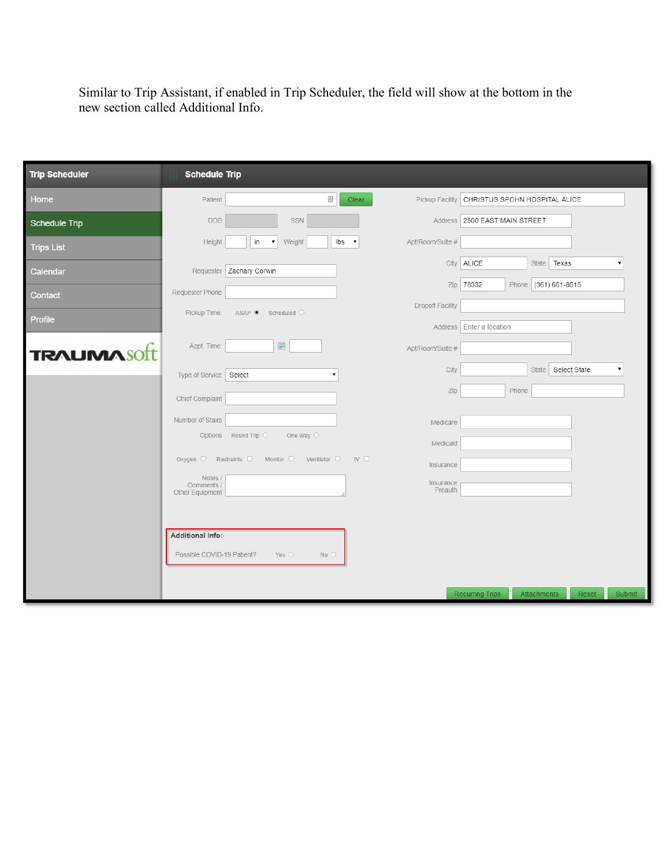Similar to Trip Assistant, if enabled in Trip Scheduler, the field will show at the bottom in the new section called Additional Info.

| <b>Trip Scheduler</b> | <b>Schedule Trip</b>          |                                                       |                              |                               |                                |
|-----------------------|-------------------------------|-------------------------------------------------------|------------------------------|-------------------------------|--------------------------------|
| Home                  | Patient                       | $\ensuremath{\mathop{\boxplus}}$<br>Clear             | Pickup Facility              | CHRISTUS SPOHN HOSPITAL ALICE |                                |
| Schedule Trip         | <b>DOB</b>                    | SSN                                                   |                              | Address 2500 EAST MAIN STREET |                                |
| <b>Trips List</b>     | Height                        | Ibs<br>in<br>Weight<br>۷.<br>$\overline{\phantom{a}}$ | Apt/Room/Suite #             |                               |                                |
| Calendar              |                               | Requester Zachary Corwin                              |                              | City ALICE                    | State <b>Texas</b>             |
| Contact               | Requester Phone               |                                                       | Zip                          | 78332                         | Phone (361) 661-8015           |
| Profile               | Pickup Time:                  | ASAP Scheduled O                                      | Dropoff Facility             |                               |                                |
|                       | Appt. Time:                   | $\overline{\rm m}$                                    | Address                      | Enter a location              |                                |
| <b>TRAUMASOft</b>     |                               |                                                       | Apt/Room/Suite #<br>City     |                               | State Select State             |
|                       | Type of Service Select        |                                                       | Zip                          | Phone                         |                                |
|                       | Chief Complaint               |                                                       |                              |                               |                                |
|                       | Number of Stairs              | Options Round Trip O<br>One Way $\circlearrowright$   | Medicare                     |                               |                                |
|                       |                               |                                                       | Medicaid                     |                               |                                |
|                       | Notes /                       | Oxygen C Restraints C Monitor C Ventilator C          | IV <sub>1</sub><br>Insurance |                               |                                |
|                       | Comments /<br>Other Equipment |                                                       | Insurance<br>Preauth         |                               |                                |
|                       |                               |                                                       |                              |                               |                                |
|                       | Additional Info:              |                                                       |                              |                               |                                |
|                       | Possible COVID-19 Patient?    | Yes $\circ$<br>$No$ $O$                               |                              |                               |                                |
|                       |                               |                                                       |                              |                               |                                |
|                       |                               |                                                       |                              | <b>Recurring Trips</b>        | Attachments<br>Reset<br>Submit |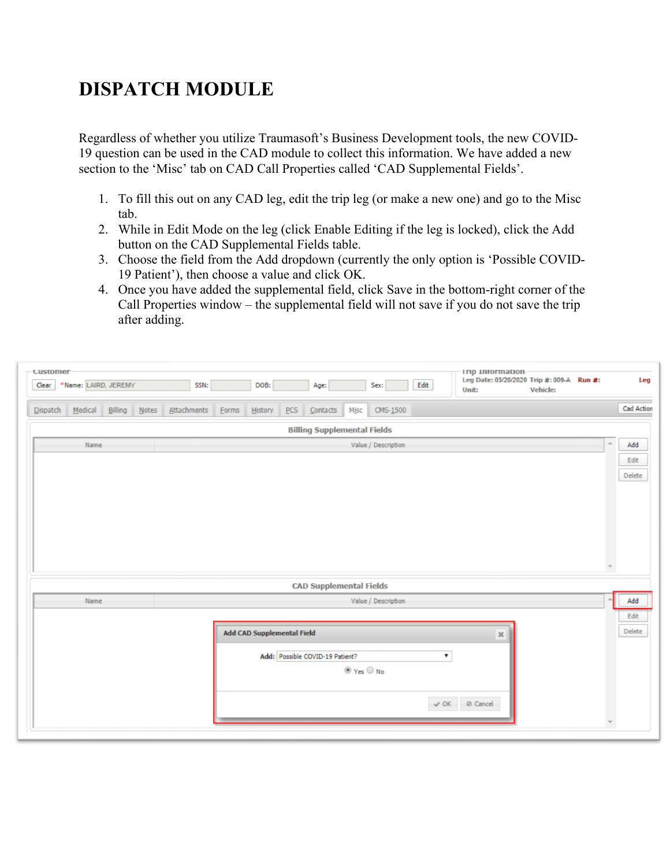# **DISPATCH MODULE**

Regardless of whether you utilize Traumasoft's Business Development tools, the new COVID-19 question can be used in the CAD module to collect this information. We have added a new section to the 'Misc' tab on CAD Call Properties called 'CAD Supplemental Fields'.

- 1. To fill this out on any CAD leg, edit the trip leg (or make a new one) and go to the Misc tab.
- 2. While in Edit Mode on the leg (click Enable Editing if the leg is locked), click the Add button on the CAD Supplemental Fields table.
- 3. Choose the field from the Add dropdown (currently the only option is 'Possible COVID-19 Patient'), then choose a value and click OK.
- 4. Once you have added the supplemental field, click Save in the bottom-right corner of the Call Properties window – the supplemental field will not save if you do not save the trip after adding.

| <b>Customer</b><br>Clear | *Name: LAIRD, JEREMY |         |        | SSN:        |                            | DOB:    |     | Age:                               |                                      | Sex:                | Edit | <b>Imp Information</b><br>Leg Date: 03/20/2020 Trip #: 009-A Run #:<br>Vehicle:<br>Unit: |                          | Leg        |
|--------------------------|----------------------|---------|--------|-------------|----------------------------|---------|-----|------------------------------------|--------------------------------------|---------------------|------|------------------------------------------------------------------------------------------|--------------------------|------------|
| $D$ ispatch              | Medical              | Billing | $Note$ | Attachments | Eorms                      | History | PCS | $\mathsf{Const}$                   | Misc                                 | $CMS-1500$          |      |                                                                                          |                          | Cad Action |
|                          |                      |         |        |             |                            |         |     | <b>Billing Supplemental Fields</b> |                                      |                     |      |                                                                                          |                          |            |
|                          | Name                 |         |        |             |                            |         |     |                                    |                                      | Value / Description |      |                                                                                          | $\Delta$                 | Add        |
|                          |                      |         |        |             |                            |         |     |                                    |                                      |                     |      |                                                                                          |                          | Edit       |
|                          |                      |         |        |             |                            |         |     |                                    |                                      |                     |      |                                                                                          |                          | Delete     |
|                          |                      |         |        |             |                            |         |     |                                    |                                      |                     |      |                                                                                          |                          |            |
|                          |                      |         |        |             |                            |         |     | <b>CAD Supplemental Fields</b>     |                                      |                     |      |                                                                                          |                          |            |
|                          | Name                 |         |        |             |                            |         |     |                                    |                                      | Value / Description |      |                                                                                          |                          | Add        |
|                          |                      |         |        |             |                            |         |     |                                    |                                      |                     |      |                                                                                          |                          | Edit       |
|                          |                      |         |        |             | Add CAD Supplemental Field |         |     |                                    |                                      |                     |      | $\mathbb{X}$                                                                             |                          | Delete     |
|                          |                      |         |        |             |                            |         |     | Add: Possible COVID-19 Patient?    |                                      |                     |      | $\pmb{\mathrm{v}}$                                                                       |                          |            |
|                          |                      |         |        |             |                            |         |     |                                    | $\circledcirc$ Yes $\circledcirc$ No |                     |      |                                                                                          |                          |            |
|                          |                      |         |        |             |                            |         |     |                                    |                                      |                     |      | V OK ⊘ Cancel                                                                            |                          |            |
|                          |                      |         |        |             |                            |         |     |                                    |                                      |                     |      |                                                                                          | $\overline{\phantom{a}}$ |            |